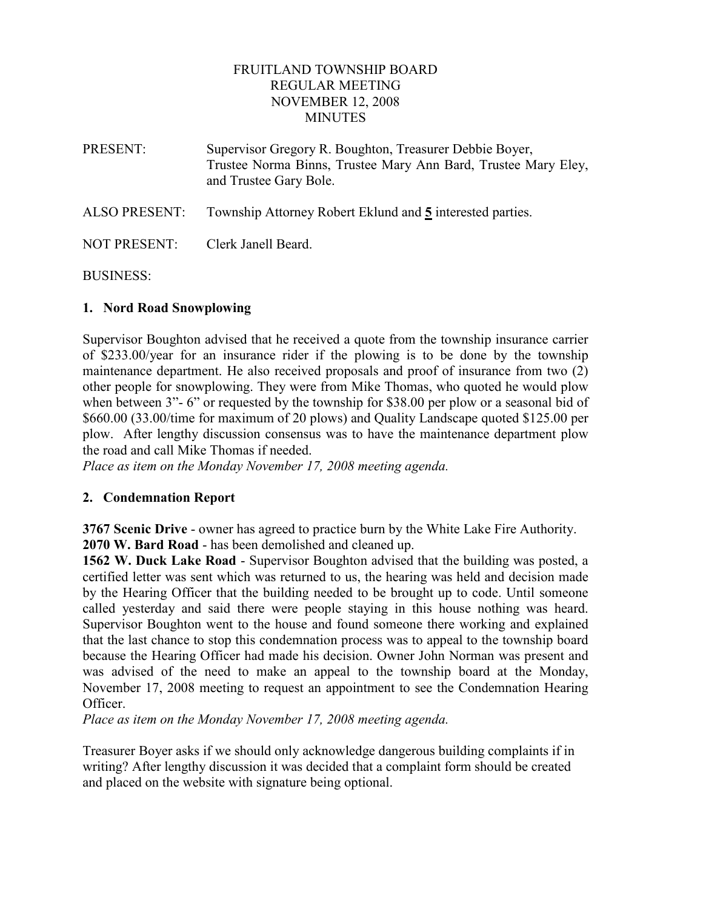## FRUITLAND TOWNSHIP BOARD REGULAR MEETING NOVEMBER 12, 2008 **MINUTES**

PRESENT: Supervisor Gregory R. Boughton, Treasurer Debbie Boyer, Trustee Norma Binns, Trustee Mary Ann Bard, Trustee Mary Eley, and Trustee Gary Bole. ALSO PRESENT: Township Attorney Robert Eklund and 5 interested parties.

NOT PRESENT: Clerk Janell Beard.

## BUSINESS:

# 1. Nord Road Snowplowing

Supervisor Boughton advised that he received a quote from the township insurance carrier of \$233.00/year for an insurance rider if the plowing is to be done by the township maintenance department. He also received proposals and proof of insurance from two (2) other people for snowplowing. They were from Mike Thomas, who quoted he would plow when between 3"- 6" or requested by the township for \$38.00 per plow or a seasonal bid of \$660.00 (33.00/time for maximum of 20 plows) and Quality Landscape quoted \$125.00 per plow. After lengthy discussion consensus was to have the maintenance department plow the road and call Mike Thomas if needed.

Place as item on the Monday November 17, 2008 meeting agenda.

## 2. Condemnation Report

3767 Scenic Drive - owner has agreed to practice burn by the White Lake Fire Authority. 2070 W. Bard Road - has been demolished and cleaned up.

1562 W. Duck Lake Road - Supervisor Boughton advised that the building was posted, a certified letter was sent which was returned to us, the hearing was held and decision made by the Hearing Officer that the building needed to be brought up to code. Until someone called yesterday and said there were people staying in this house nothing was heard. Supervisor Boughton went to the house and found someone there working and explained that the last chance to stop this condemnation process was to appeal to the township board because the Hearing Officer had made his decision. Owner John Norman was present and was advised of the need to make an appeal to the township board at the Monday, November 17, 2008 meeting to request an appointment to see the Condemnation Hearing Officer.

Place as item on the Monday November 17, 2008 meeting agenda.

Treasurer Boyer asks if we should only acknowledge dangerous building complaints if in writing? After lengthy discussion it was decided that a complaint form should be created and placed on the website with signature being optional.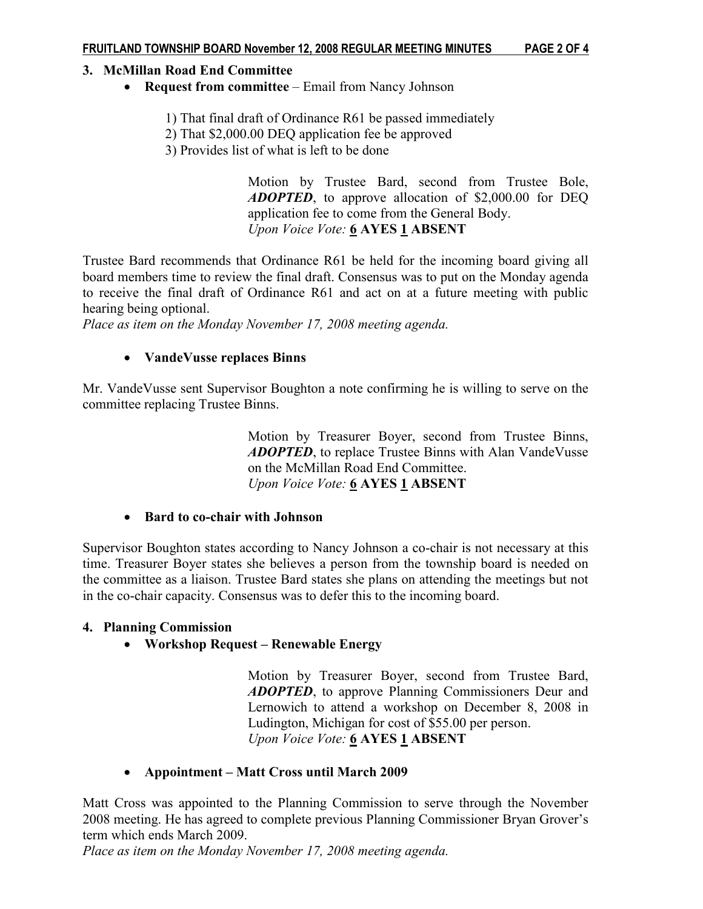## 3. McMillan Road End Committee

- Request from committee Email from Nancy Johnson
	- 1) That final draft of Ordinance R61 be passed immediately
	- 2) That \$2,000.00 DEQ application fee be approved
	- 3) Provides list of what is left to be done

 Motion by Trustee Bard, second from Trustee Bole, ADOPTED, to approve allocation of \$2,000.00 for DEQ application fee to come from the General Body. Upon Voice Vote: 6 AYES 1 ABSENT

Trustee Bard recommends that Ordinance R61 be held for the incoming board giving all board members time to review the final draft. Consensus was to put on the Monday agenda to receive the final draft of Ordinance R61 and act on at a future meeting with public hearing being optional.

Place as item on the Monday November 17, 2008 meeting agenda.

## • VandeVusse replaces Binns

Mr. VandeVusse sent Supervisor Boughton a note confirming he is willing to serve on the committee replacing Trustee Binns.

> Motion by Treasurer Boyer, second from Trustee Binns, ADOPTED, to replace Trustee Binns with Alan VandeVusse on the McMillan Road End Committee. Upon Voice Vote: 6 AYES 1 ABSENT

### • Bard to co-chair with Johnson

Supervisor Boughton states according to Nancy Johnson a co-chair is not necessary at this time. Treasurer Boyer states she believes a person from the township board is needed on the committee as a liaison. Trustee Bard states she plans on attending the meetings but not in the co-chair capacity. Consensus was to defer this to the incoming board.

### 4. Planning Commission

• Workshop Request – Renewable Energy

Motion by Treasurer Boyer, second from Trustee Bard, ADOPTED, to approve Planning Commissioners Deur and Lernowich to attend a workshop on December 8, 2008 in Ludington, Michigan for cost of \$55.00 per person. Upon Voice Vote: 6 AYES 1 ABSENT

## • Appointment – Matt Cross until March 2009

Matt Cross was appointed to the Planning Commission to serve through the November 2008 meeting. He has agreed to complete previous Planning Commissioner Bryan Grover's term which ends March 2009.

Place as item on the Monday November 17, 2008 meeting agenda.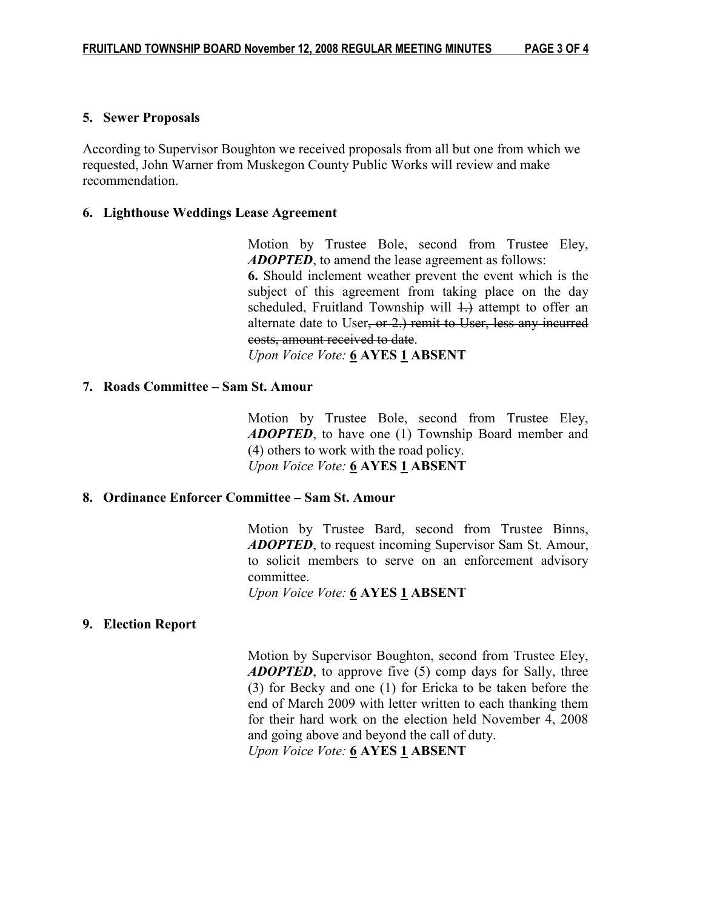#### 5. Sewer Proposals

According to Supervisor Boughton we received proposals from all but one from which we requested, John Warner from Muskegon County Public Works will review and make recommendation.

#### 6. Lighthouse Weddings Lease Agreement

Motion by Trustee Bole, second from Trustee Eley, ADOPTED, to amend the lease agreement as follows: 6. Should inclement weather prevent the event which is the subject of this agreement from taking place on the day scheduled, Fruitland Township will  $\ddagger$ .) attempt to offer an alternate date to User, or 2.) remit to User, less any incurred costs, amount received to date.

Upon Voice Vote: 6 AYES 1 ABSENT

#### 7. Roads Committee – Sam St. Amour

 Motion by Trustee Bole, second from Trustee Eley, **ADOPTED**, to have one (1) Township Board member and (4) others to work with the road policy. Upon Voice Vote: 6 AYES 1 ABSENT

#### 8. Ordinance Enforcer Committee – Sam St. Amour

 Motion by Trustee Bard, second from Trustee Binns, ADOPTED, to request incoming Supervisor Sam St. Amour, to solicit members to serve on an enforcement advisory committee.

Upon Voice Vote: 6 AYES 1 ABSENT

### 9. Election Report

Motion by Supervisor Boughton, second from Trustee Eley, ADOPTED, to approve five (5) comp days for Sally, three (3) for Becky and one (1) for Ericka to be taken before the end of March 2009 with letter written to each thanking them for their hard work on the election held November 4, 2008 and going above and beyond the call of duty. Upon Voice Vote: 6 AYES 1 ABSENT